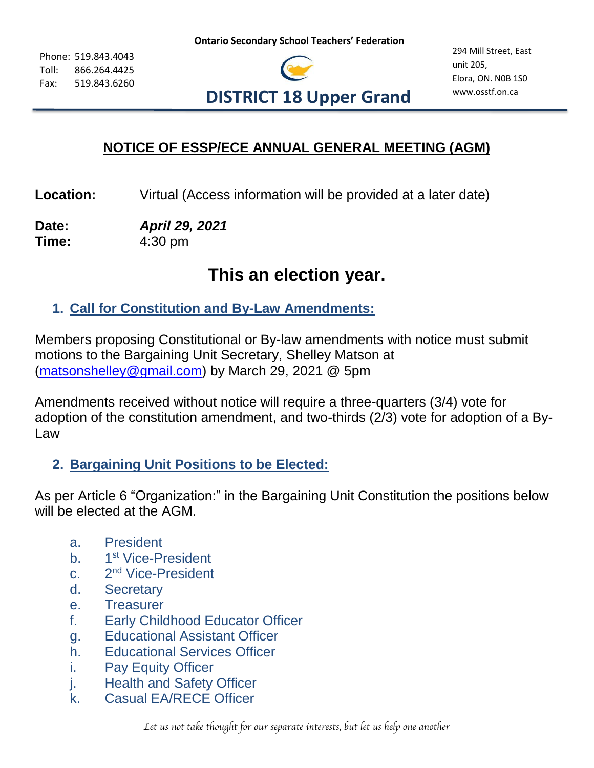Phone: 519.843.4043 Toll: 866.264.4425 Fax: 519.843.6260



## **NOTICE OF ESSP/ECE ANNUAL GENERAL MEETING (AGM)**

**Location:** Virtual (Access information will be provided at a later date)

**Date:** *April 29, 2021* **Time:** 4:30 pm

# **This an election year.**

#### **1. Call for Constitution and By-Law Amendments:**

Members proposing Constitutional or By-law amendments with notice must submit motions to the Bargaining Unit Secretary, Shelley Matson at [\(matsonshelley@gmail.com\)](mailto:matsonshelley@gmail.com) by March 29, 2021 @ 5pm

Amendments received without notice will require a three-quarters (3/4) vote for adoption of the constitution amendment, and two-thirds (2/3) vote for adoption of a By-Law

#### **2. Bargaining Unit Positions to be Elected:**

As per Article 6 "Organization:" in the Bargaining Unit Constitution the positions below will be elected at the AGM.

- a. President
- $h$ 1<sup>st</sup> Vice-President
- $C<sub>2</sub>$ 2<sup>nd</sup> Vice-President
- d. Secretary
- e. Treasurer
- f. Early Childhood Educator Officer
- g. Educational Assistant Officer
- h. Educational Services Officer
- i. Pay Equity Officer
- j. Health and Safety Officer
- k. Casual EA/RECE Officer